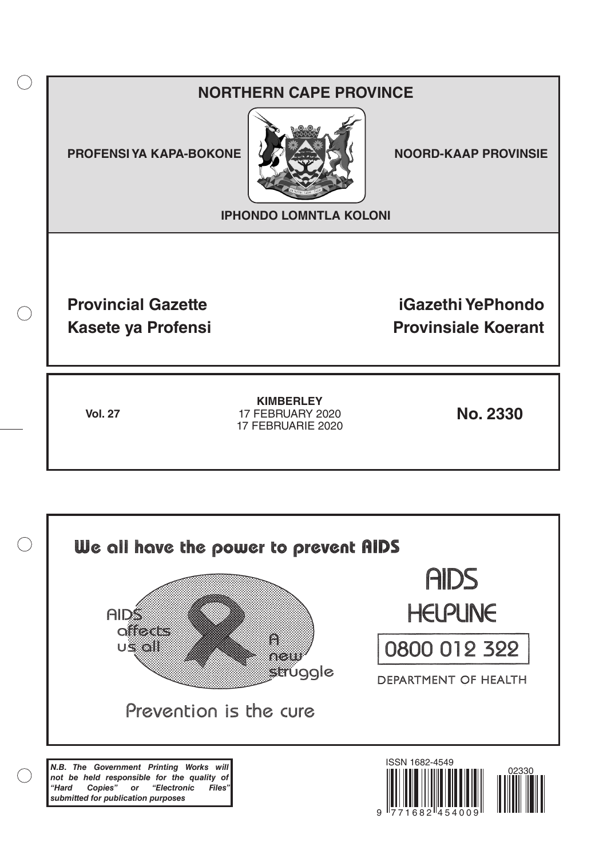# **NORTHERN CAPE PROVINCE**

**PROFENSI YA KAPA-BOKONE NOORD-KAAP PROVINSIE** 

 $($ )



**IPHONDO LOMNTLA KOLONI**

**Provincial Gazette iGazethi YePhondo Kasete ya Profensi Provinsiale Koerant** 

**Vol. 27 No. 2330** 17 FEBRUARY 2020 **KIMBERLEY** 17 FEBRUARIE 2020

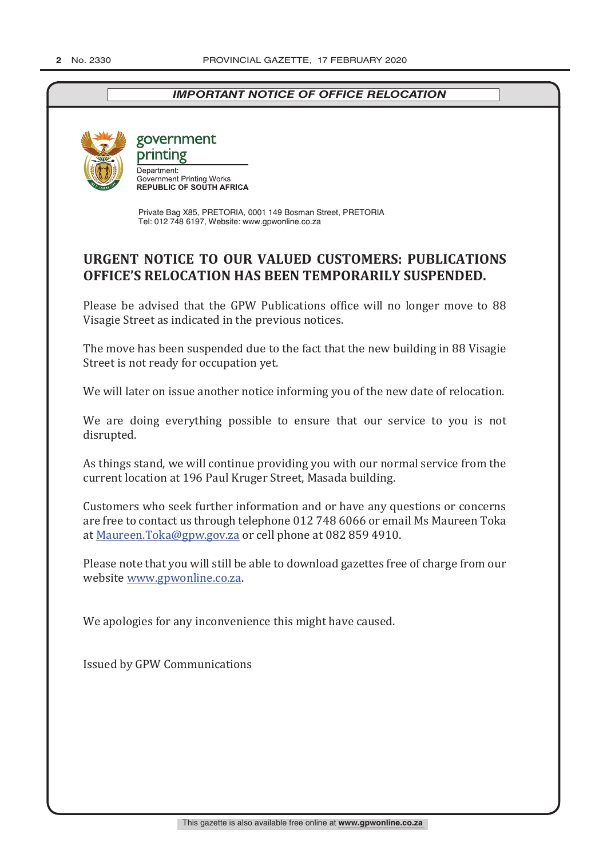# *IMPORTANT NOTICE OF OFFICE RELOCATION*



government printing

Department: Department.<br>Government Printing Works<br>REPUBLIC OF SOUTH AFRICA

Private Bag X85, PRETORIA, 0001 149 Bosman Street, PRETORIA Tel: 012 748 6197, Website: www.gpwonline.co.za

# **URGENT NOTICE TO OUR VALUED CUSTOMERS: PUBLICATIONS OFFICE'S RELOCATION HAS BEEN TEMPORARILY SUSPENDED.**

Please be advised that the GPW Publications office will no longer move to 88 Visagie Street as indicated in the previous notices.

The move has been suspended due to the fact that the new building in 88 Visagie Street is not ready for occupation yet.

We will later on issue another notice informing you of the new date of relocation.

We are doing everything possible to ensure that our service to you is not disrupted.

As things stand, we will continue providing you with our normal service from the current location at 196 Paul Kruger Street, Masada building.

Customers who seek further information and or have any questions or concerns are free to contact us through telephone 012 748 6066 or email Ms Maureen Toka at Maureen.Toka@gpw.gov.za or cell phone at 082 859 4910.

Please note that you will still be able to download gazettes free of charge from our website www.gpwonline.co.za.

We apologies for any inconvenience this might have caused.

Issued by GPW Communications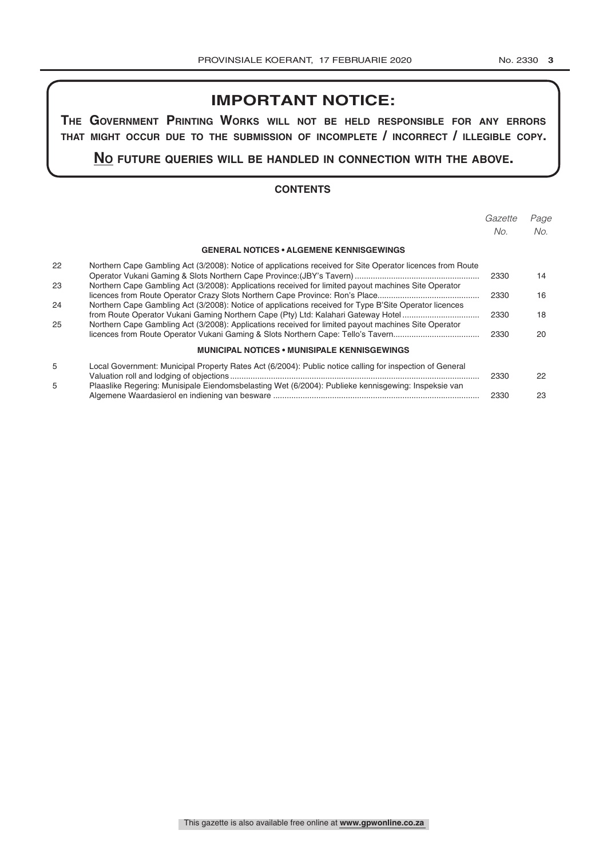# **IMPORTANT NOTICE:**

**The GovernmenT PrinTinG Works Will noT be held resPonsible for any errors ThaT miGhT occur due To The submission of incomPleTe / incorrecT / illeGible coPy.**

**no fuTure queries Will be handled in connecTion WiTh The above.**

#### **CONTENTS**

|    |                                                                                                            | Gazette<br>No. | Page<br>No. |
|----|------------------------------------------------------------------------------------------------------------|----------------|-------------|
|    |                                                                                                            |                |             |
|    | <b>GENERAL NOTICES • ALGEMENE KENNISGEWINGS</b>                                                            |                |             |
| 22 | Northern Cape Gambling Act (3/2008): Notice of applications received for Site Operator licences from Route | 2330           | 14          |
| 23 | Northern Cape Gambling Act (3/2008): Applications received for limited payout machines Site Operator       | 2330           | 16          |
| 24 | Northern Cape Gambling Act (3/2008): Notice of applications received for Type B'Site Operator licences     | 2330           | 18          |
| 25 | Northern Cape Gambling Act (3/2008): Applications received for limited payout machines Site Operator       | 2330           | 20          |
|    | <b>MUNICIPAL NOTICES • MUNISIPALE KENNISGEWINGS</b>                                                        |                |             |
| 5  | Local Government: Municipal Property Rates Act (6/2004): Public notice calling for inspection of General   | 2330           | 22          |
| 5  | Plaaslike Regering: Munisipale Eiendomsbelasting Wet (6/2004): Publieke kennisgewing: Inspeksie van        | 2330           | 23          |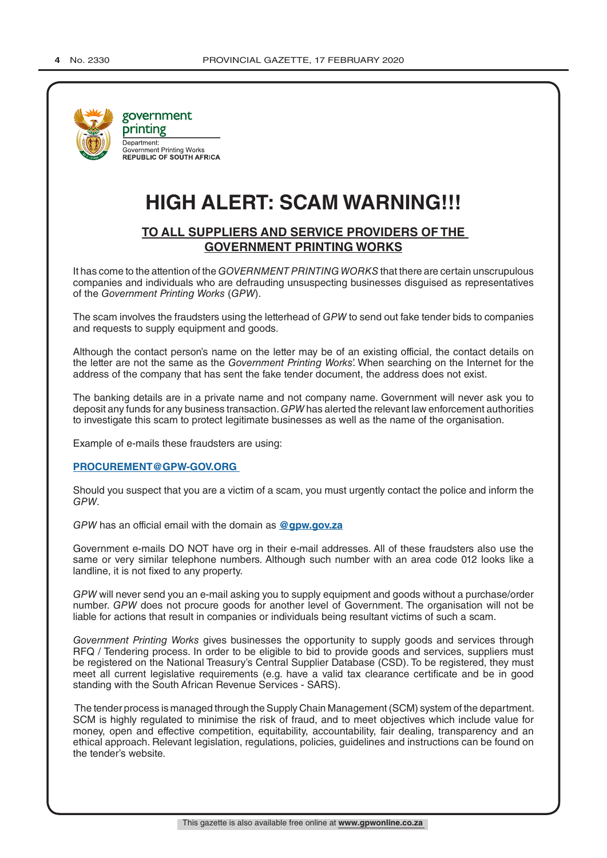

# **HIGH ALERT: SCAM WARNING!!!**

## **TO ALL SUPPLIERS AND SERVICE PROVIDERS OF THE GOVERNMENT PRINTING WORKS**

It has come to the attention of the *GOVERNMENT PRINTING WORKS* that there are certain unscrupulous companies and individuals who are defrauding unsuspecting businesses disguised as representatives of the *Government Printing Works* (*GPW*).

The scam involves the fraudsters using the letterhead of *GPW* to send out fake tender bids to companies and requests to supply equipment and goods.

Although the contact person's name on the letter may be of an existing official, the contact details on the letter are not the same as the *Government Printing Works*'. When searching on the Internet for the address of the company that has sent the fake tender document, the address does not exist.

The banking details are in a private name and not company name. Government will never ask you to deposit any funds for any business transaction. *GPW* has alerted the relevant law enforcement authorities to investigate this scam to protect legitimate businesses as well as the name of the organisation.

Example of e-mails these fraudsters are using:

#### **PROCUREMENT@GPW-GOV.ORG**

Should you suspect that you are a victim of a scam, you must urgently contact the police and inform the *GPW*.

*GPW* has an official email with the domain as **@gpw.gov.za**

Government e-mails DO NOT have org in their e-mail addresses. All of these fraudsters also use the same or very similar telephone numbers. Although such number with an area code 012 looks like a landline, it is not fixed to any property.

*GPW* will never send you an e-mail asking you to supply equipment and goods without a purchase/order number. *GPW* does not procure goods for another level of Government. The organisation will not be liable for actions that result in companies or individuals being resultant victims of such a scam.

*Government Printing Works* gives businesses the opportunity to supply goods and services through RFQ / Tendering process. In order to be eligible to bid to provide goods and services, suppliers must be registered on the National Treasury's Central Supplier Database (CSD). To be registered, they must meet all current legislative requirements (e.g. have a valid tax clearance certificate and be in good standing with the South African Revenue Services - SARS).

 The tender process is managed through the Supply Chain Management (SCM) system of the department. SCM is highly regulated to minimise the risk of fraud, and to meet objectives which include value for money, open and effective competition, equitability, accountability, fair dealing, transparency and an ethical approach. Relevant legislation, regulations, policies, guidelines and instructions can be found on the tender's website.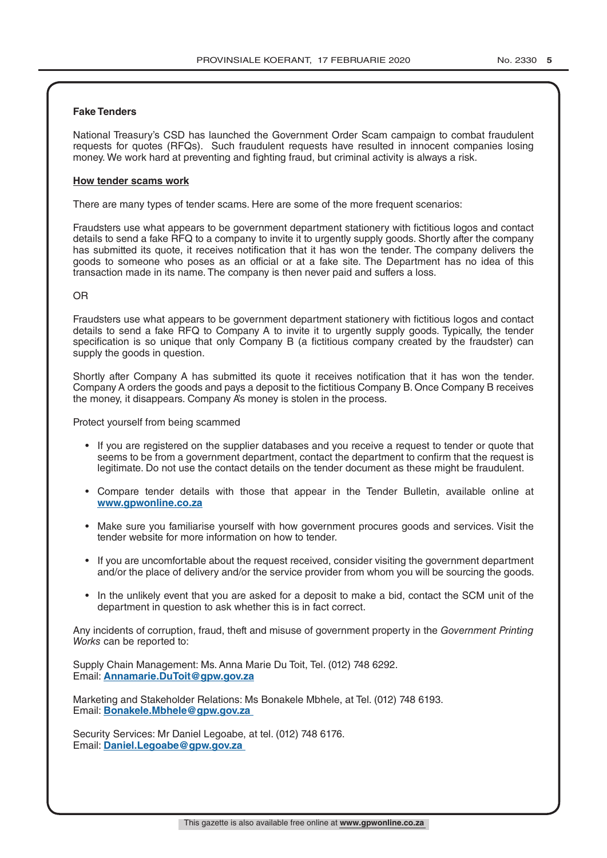#### **Fake Tenders**

National Treasury's CSD has launched the Government Order Scam campaign to combat fraudulent requests for quotes (RFQs). Such fraudulent requests have resulted in innocent companies losing money. We work hard at preventing and fighting fraud, but criminal activity is always a risk.

#### **How tender scams work**

There are many types of tender scams. Here are some of the more frequent scenarios:

Fraudsters use what appears to be government department stationery with fictitious logos and contact details to send a fake RFQ to a company to invite it to urgently supply goods. Shortly after the company has submitted its quote, it receives notification that it has won the tender. The company delivers the goods to someone who poses as an official or at a fake site. The Department has no idea of this transaction made in its name. The company is then never paid and suffers a loss.

#### OR

Fraudsters use what appears to be government department stationery with fictitious logos and contact details to send a fake RFQ to Company A to invite it to urgently supply goods. Typically, the tender specification is so unique that only Company B (a fictitious company created by the fraudster) can supply the goods in question.

Shortly after Company A has submitted its quote it receives notification that it has won the tender. Company A orders the goods and pays a deposit to the fictitious Company B. Once Company B receives the money, it disappears. Company A's money is stolen in the process.

Protect yourself from being scammed

- If you are registered on the supplier databases and you receive a request to tender or quote that seems to be from a government department, contact the department to confirm that the request is legitimate. Do not use the contact details on the tender document as these might be fraudulent.
- Compare tender details with those that appear in the Tender Bulletin, available online at **www.gpwonline.co.za**
- Make sure you familiarise yourself with how government procures goods and services. Visit the tender website for more information on how to tender.
- If you are uncomfortable about the request received, consider visiting the government department and/or the place of delivery and/or the service provider from whom you will be sourcing the goods.
- In the unlikely event that you are asked for a deposit to make a bid, contact the SCM unit of the department in question to ask whether this is in fact correct.

Any incidents of corruption, fraud, theft and misuse of government property in the *Government Printing Works* can be reported to:

Supply Chain Management: Ms. Anna Marie Du Toit, Tel. (012) 748 6292. Email: **Annamarie.DuToit@gpw.gov.za**

Marketing and Stakeholder Relations: Ms Bonakele Mbhele, at Tel. (012) 748 6193. Email: **Bonakele.Mbhele@gpw.gov.za** 

Security Services: Mr Daniel Legoabe, at tel. (012) 748 6176. Email: **Daniel.Legoabe@gpw.gov.za**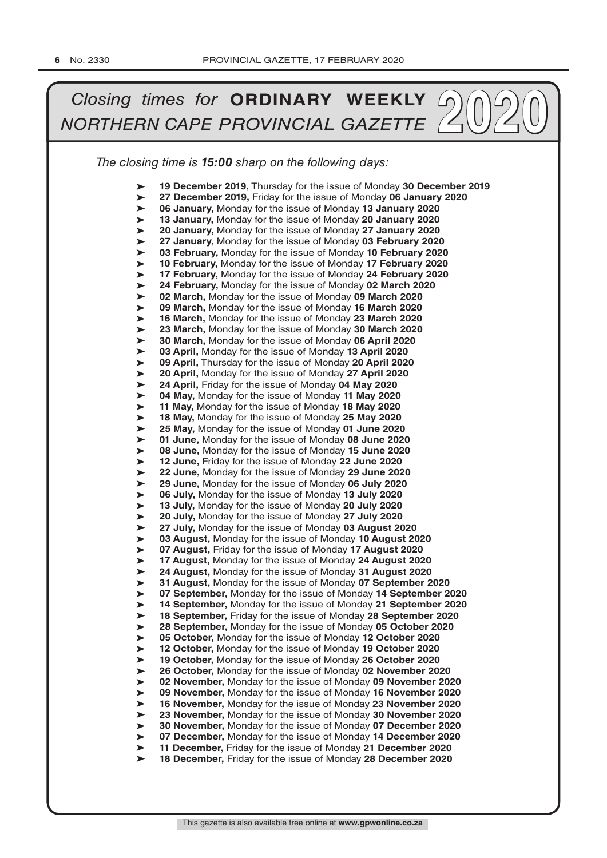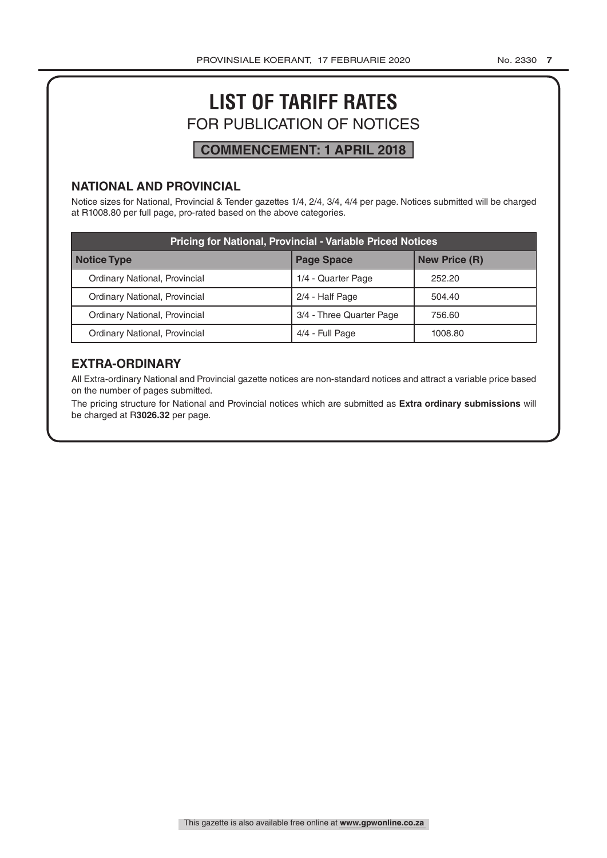# **LIST OF TARIFF RATES** FOR PUBLICATION OF NOTICES

# **COMMENCEMENT: 1 APRIL 2018**

## **NATIONAL AND PROVINCIAL**

Notice sizes for National, Provincial & Tender gazettes 1/4, 2/4, 3/4, 4/4 per page. Notices submitted will be charged at R1008.80 per full page, pro-rated based on the above categories.

| <b>Pricing for National, Provincial - Variable Priced Notices</b> |                          |                      |  |  |
|-------------------------------------------------------------------|--------------------------|----------------------|--|--|
| Notice Type                                                       | <b>Page Space</b>        | <b>New Price (R)</b> |  |  |
| Ordinary National, Provincial                                     | 1/4 - Quarter Page       | 252.20               |  |  |
| Ordinary National, Provincial                                     | 2/4 - Half Page          | 504.40               |  |  |
| Ordinary National, Provincial                                     | 3/4 - Three Quarter Page | 756.60               |  |  |
| Ordinary National, Provincial                                     | 4/4 - Full Page          | 1008.80              |  |  |

# **EXTRA-ORDINARY**

All Extra-ordinary National and Provincial gazette notices are non-standard notices and attract a variable price based on the number of pages submitted.

The pricing structure for National and Provincial notices which are submitted as **Extra ordinary submissions** will be charged at R**3026.32** per page.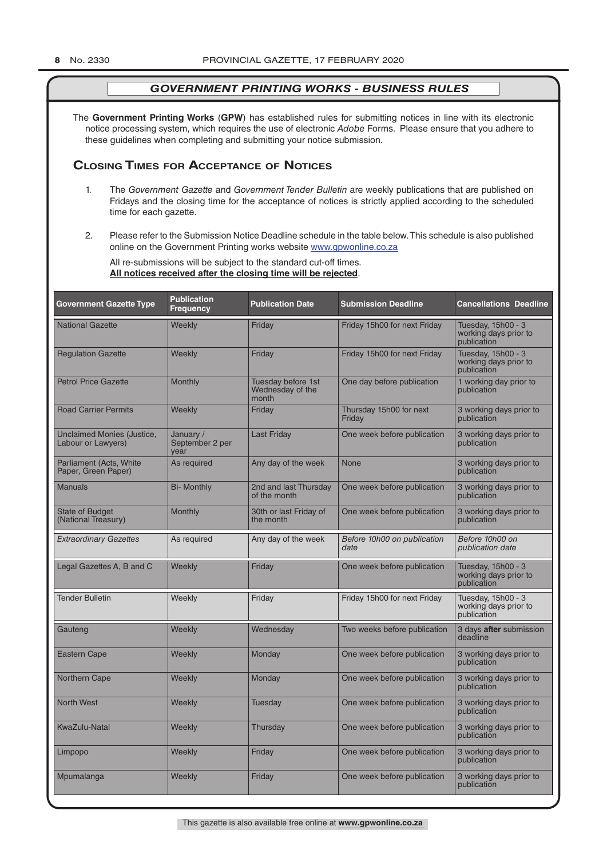The **Government Printing Works** (**GPW**) has established rules for submitting notices in line with its electronic notice processing system, which requires the use of electronic *Adobe* Forms. Please ensure that you adhere to these guidelines when completing and submitting your notice submission.

## **Closing Times for ACCepTAnCe of noTiCes**

- 1. The *Government Gazette* and *Government Tender Bulletin* are weekly publications that are published on Fridays and the closing time for the acceptance of notices is strictly applied according to the scheduled time for each gazette.
- 2. Please refer to the Submission Notice Deadline schedule in the table below. This schedule is also published online on the Government Printing works website www.gpwonline.co.za

All re-submissions will be subject to the standard cut-off times. **All notices received after the closing time will be rejected**.

| <b>Government Gazette Type</b>                   | <b>Publication</b><br><b>Frequency</b> | <b>Publication Date</b>                         | <b>Submission Deadline</b>          | <b>Cancellations Deadline</b>                              |
|--------------------------------------------------|----------------------------------------|-------------------------------------------------|-------------------------------------|------------------------------------------------------------|
| <b>National Gazette</b>                          | Weekly                                 | Friday                                          | Friday 15h00 for next Friday        | Tuesday, 15h00 - 3<br>working days prior to<br>publication |
| <b>Regulation Gazette</b>                        | Weekly                                 | Friday                                          | Friday 15h00 for next Friday        | Tuesday, 15h00 - 3<br>working days prior to<br>publication |
| <b>Petrol Price Gazette</b>                      | Monthly                                | Tuesday before 1st<br>Wednesday of the<br>month | One day before publication          | 1 working day prior to<br>publication                      |
| <b>Road Carrier Permits</b>                      | Weekly                                 | Friday                                          | Thursday 15h00 for next<br>Friday   | 3 working days prior to<br>publication                     |
| Unclaimed Monies (Justice,<br>Labour or Lawyers) | January /<br>September 2 per<br>vear   | <b>Last Friday</b>                              | One week before publication         | 3 working days prior to<br>publication                     |
| Parliament (Acts, White<br>Paper, Green Paper)   | As required                            | Any day of the week                             | <b>None</b>                         | 3 working days prior to<br>publication                     |
| <b>Manuals</b>                                   | <b>Bi- Monthly</b>                     | 2nd and last Thursday<br>of the month           | One week before publication         | 3 working days prior to<br>publication                     |
| <b>State of Budget</b><br>(National Treasury)    | Monthly                                | 30th or last Friday of<br>the month             | One week before publication         | 3 working days prior to<br>publication                     |
| <b>Extraordinary Gazettes</b>                    | As required                            | Any day of the week                             | Before 10h00 on publication<br>date | Before 10h00 on<br>publication date                        |
| Legal Gazettes A, B and C                        | Weekly                                 | Friday                                          | One week before publication         | Tuesday, 15h00 - 3<br>working days prior to<br>publication |
| <b>Tender Bulletin</b>                           | Weekly                                 | Friday                                          | Friday 15h00 for next Friday        | Tuesday, 15h00 - 3<br>working days prior to<br>publication |
| Gauteng                                          | Weekly                                 | Wednesday                                       | Two weeks before publication        | 3 days after submission<br>deadline                        |
| <b>Eastern Cape</b>                              | Weekly                                 | Monday                                          | One week before publication         | 3 working days prior to<br>publication                     |
| Northern Cape                                    | Weekly                                 | Monday                                          | One week before publication         | 3 working days prior to<br>publication                     |
| <b>North West</b>                                | Weekly                                 | Tuesday                                         | One week before publication         | 3 working days prior to<br>publication                     |
| <b>KwaZulu-Natal</b>                             | Weekly                                 | Thursday                                        | One week before publication         | 3 working days prior to<br>publication                     |
| Limpopo                                          | Weekly                                 | Friday                                          | One week before publication         | 3 working days prior to<br>publication                     |
| Mpumalanga                                       | Weekly                                 | Friday                                          | One week before publication         | 3 working days prior to<br>publication                     |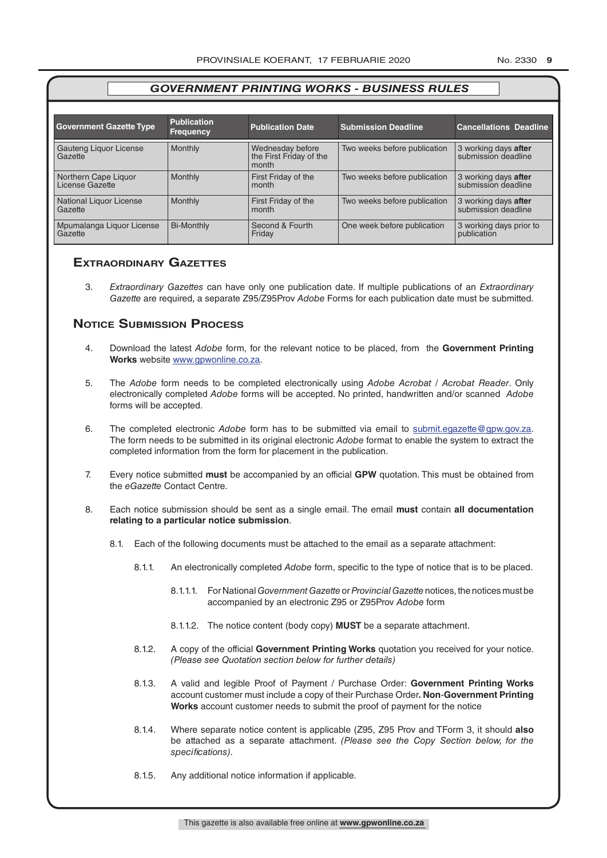| <b>Government Gazette Type</b>          | <b>Publication</b><br><b>Frequency</b> | <b>Publication Date</b>                              | <b>Submission Deadline</b>   | <b>Cancellations Deadline</b>               |
|-----------------------------------------|----------------------------------------|------------------------------------------------------|------------------------------|---------------------------------------------|
| Gauteng Liquor License<br>Gazette       | <b>Monthly</b>                         | Wednesday before<br>the First Friday of the<br>month | Two weeks before publication | 3 working days after<br>submission deadline |
| Northern Cape Liquor<br>License Gazette | <b>Monthly</b>                         | First Friday of the<br>month                         | Two weeks before publication | 3 working days after<br>submission deadline |
| National Liquor License<br>Gazette      | <b>Monthly</b>                         | First Friday of the<br>month                         | Two weeks before publication | 3 working days after<br>submission deadline |
| Mpumalanga Liquor License<br>Gazette    | <b>Bi-Monthly</b>                      | Second & Fourth<br>Friday                            | One week before publication  | 3 working days prior to<br>publication      |

## **exTrAordinAry gAzeTTes**

3. *Extraordinary Gazettes* can have only one publication date. If multiple publications of an *Extraordinary Gazette* are required, a separate Z95/Z95Prov *Adobe* Forms for each publication date must be submitted.

## **NOTICE SUBMISSION PROCESS**

- 4. Download the latest *Adobe* form, for the relevant notice to be placed, from the **Government Printing Works** website www.gpwonline.co.za.
- 5. The *Adobe* form needs to be completed electronically using *Adobe Acrobat* / *Acrobat Reader*. Only electronically completed *Adobe* forms will be accepted. No printed, handwritten and/or scanned *Adobe* forms will be accepted.
- 6. The completed electronic *Adobe* form has to be submitted via email to submit.egazette@gpw.gov.za. The form needs to be submitted in its original electronic *Adobe* format to enable the system to extract the completed information from the form for placement in the publication.
- 7. Every notice submitted **must** be accompanied by an official **GPW** quotation. This must be obtained from the *eGazette* Contact Centre.
- 8. Each notice submission should be sent as a single email. The email **must** contain **all documentation relating to a particular notice submission**.
	- 8.1. Each of the following documents must be attached to the email as a separate attachment:
		- 8.1.1. An electronically completed *Adobe* form, specific to the type of notice that is to be placed.
			- 8.1.1.1. For National *Government Gazette* or *Provincial Gazette* notices, the notices must be accompanied by an electronic Z95 or Z95Prov *Adobe* form
			- 8.1.1.2. The notice content (body copy) **MUST** be a separate attachment.
		- 8.1.2. A copy of the official **Government Printing Works** quotation you received for your notice. *(Please see Quotation section below for further details)*
		- 8.1.3. A valid and legible Proof of Payment / Purchase Order: **Government Printing Works** account customer must include a copy of their Purchase Order*.* **Non**-**Government Printing Works** account customer needs to submit the proof of payment for the notice
		- 8.1.4. Where separate notice content is applicable (Z95, Z95 Prov and TForm 3, it should **also** be attached as a separate attachment. *(Please see the Copy Section below, for the specifications)*.
		- 8.1.5. Any additional notice information if applicable.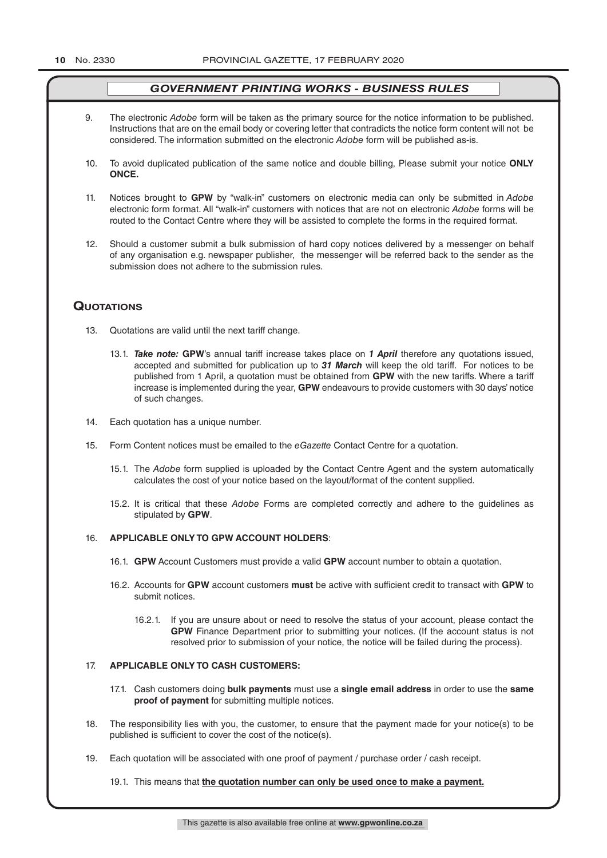- 9. The electronic *Adobe* form will be taken as the primary source for the notice information to be published. Instructions that are on the email body or covering letter that contradicts the notice form content will not be considered. The information submitted on the electronic *Adobe* form will be published as-is.
- 10. To avoid duplicated publication of the same notice and double billing, Please submit your notice **ONLY ONCE.**
- 11. Notices brought to **GPW** by "walk-in" customers on electronic media can only be submitted in *Adobe* electronic form format. All "walk-in" customers with notices that are not on electronic *Adobe* forms will be routed to the Contact Centre where they will be assisted to complete the forms in the required format.
- 12. Should a customer submit a bulk submission of hard copy notices delivered by a messenger on behalf of any organisation e.g. newspaper publisher, the messenger will be referred back to the sender as the submission does not adhere to the submission rules.

## **QuoTATions**

- 13. Quotations are valid until the next tariff change.
	- 13.1. *Take note:* **GPW**'s annual tariff increase takes place on *1 April* therefore any quotations issued, accepted and submitted for publication up to *31 March* will keep the old tariff. For notices to be published from 1 April, a quotation must be obtained from **GPW** with the new tariffs. Where a tariff increase is implemented during the year, **GPW** endeavours to provide customers with 30 days' notice of such changes.
- 14. Each quotation has a unique number.
- 15. Form Content notices must be emailed to the *eGazette* Contact Centre for a quotation.
	- 15.1. The *Adobe* form supplied is uploaded by the Contact Centre Agent and the system automatically calculates the cost of your notice based on the layout/format of the content supplied.
	- 15.2. It is critical that these *Adobe* Forms are completed correctly and adhere to the guidelines as stipulated by **GPW**.

#### 16. **APPLICABLE ONLY TO GPW ACCOUNT HOLDERS**:

- 16.1. **GPW** Account Customers must provide a valid **GPW** account number to obtain a quotation.
- 16.2. Accounts for **GPW** account customers **must** be active with sufficient credit to transact with **GPW** to submit notices.
	- 16.2.1. If you are unsure about or need to resolve the status of your account, please contact the **GPW** Finance Department prior to submitting your notices. (If the account status is not resolved prior to submission of your notice, the notice will be failed during the process).

#### 17. **APPLICABLE ONLY TO CASH CUSTOMERS:**

- 17.1. Cash customers doing **bulk payments** must use a **single email address** in order to use the **same proof of payment** for submitting multiple notices.
- 18. The responsibility lies with you, the customer, to ensure that the payment made for your notice(s) to be published is sufficient to cover the cost of the notice(s).
- 19. Each quotation will be associated with one proof of payment / purchase order / cash receipt.

19.1. This means that **the quotation number can only be used once to make a payment.**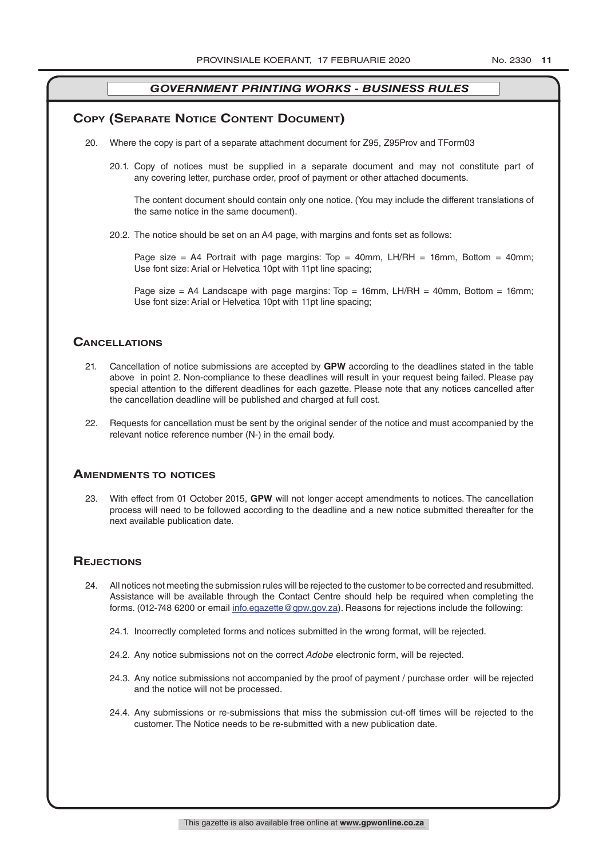#### **COPY (SEPARATE NOTICE CONTENT DOCUMENT)**

- 20. Where the copy is part of a separate attachment document for Z95, Z95Prov and TForm03
	- 20.1. Copy of notices must be supplied in a separate document and may not constitute part of any covering letter, purchase order, proof of payment or other attached documents.

The content document should contain only one notice. (You may include the different translations of the same notice in the same document).

20.2. The notice should be set on an A4 page, with margins and fonts set as follows:

Page size = A4 Portrait with page margins: Top = 40mm, LH/RH = 16mm, Bottom = 40mm; Use font size: Arial or Helvetica 10pt with 11pt line spacing;

Page size = A4 Landscape with page margins: Top = 16mm, LH/RH = 40mm, Bottom = 16mm; Use font size: Arial or Helvetica 10pt with 11pt line spacing;

#### **CAnCellATions**

- 21. Cancellation of notice submissions are accepted by **GPW** according to the deadlines stated in the table above in point 2. Non-compliance to these deadlines will result in your request being failed. Please pay special attention to the different deadlines for each gazette. Please note that any notices cancelled after the cancellation deadline will be published and charged at full cost.
- 22. Requests for cancellation must be sent by the original sender of the notice and must accompanied by the relevant notice reference number (N-) in the email body.

#### **AmendmenTs To noTiCes**

23. With effect from 01 October 2015, **GPW** will not longer accept amendments to notices. The cancellation process will need to be followed according to the deadline and a new notice submitted thereafter for the next available publication date.

#### **REJECTIONS**

- 24. All notices not meeting the submission rules will be rejected to the customer to be corrected and resubmitted. Assistance will be available through the Contact Centre should help be required when completing the forms. (012-748 6200 or email info.egazette@gpw.gov.za). Reasons for rejections include the following:
	- 24.1. Incorrectly completed forms and notices submitted in the wrong format, will be rejected.
	- 24.2. Any notice submissions not on the correct *Adobe* electronic form, will be rejected.
	- 24.3. Any notice submissions not accompanied by the proof of payment / purchase order will be rejected and the notice will not be processed.
	- 24.4. Any submissions or re-submissions that miss the submission cut-off times will be rejected to the customer. The Notice needs to be re-submitted with a new publication date.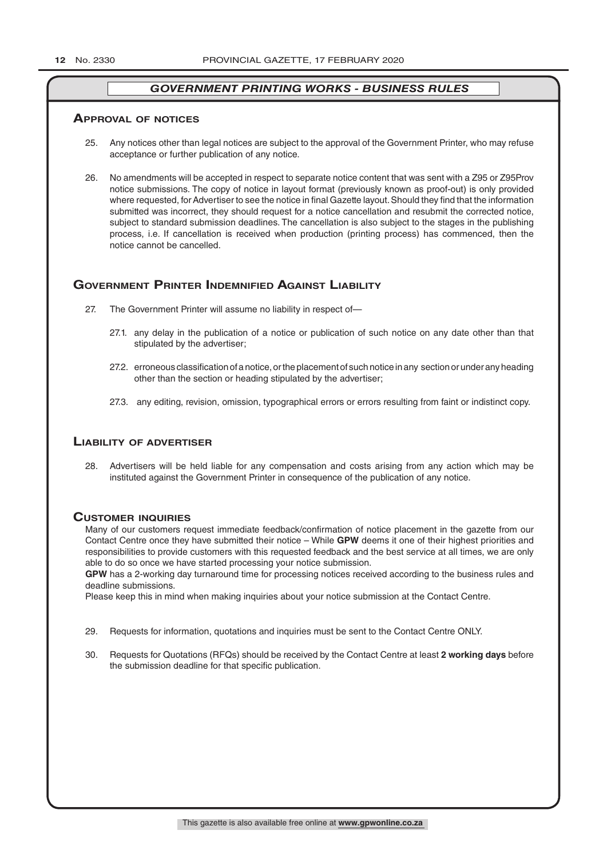#### **ApprovAl of noTiCes**

- 25. Any notices other than legal notices are subject to the approval of the Government Printer, who may refuse acceptance or further publication of any notice.
- 26. No amendments will be accepted in respect to separate notice content that was sent with a Z95 or Z95Prov notice submissions. The copy of notice in layout format (previously known as proof-out) is only provided where requested, for Advertiser to see the notice in final Gazette layout. Should they find that the information submitted was incorrect, they should request for a notice cancellation and resubmit the corrected notice, subject to standard submission deadlines. The cancellation is also subject to the stages in the publishing process, i.e. If cancellation is received when production (printing process) has commenced, then the notice cannot be cancelled.

## **GOVERNMENT PRINTER INDEMNIFIED AGAINST LIABILITY**

- 27. The Government Printer will assume no liability in respect of—
	- 27.1. any delay in the publication of a notice or publication of such notice on any date other than that stipulated by the advertiser;
	- 27.2. erroneous classification of a notice, or the placement of such notice in any section or under any heading other than the section or heading stipulated by the advertiser;
	- 27.3. any editing, revision, omission, typographical errors or errors resulting from faint or indistinct copy.

#### **liAbiliTy of AdverTiser**

28. Advertisers will be held liable for any compensation and costs arising from any action which may be instituted against the Government Printer in consequence of the publication of any notice.

#### **CusTomer inQuiries**

Many of our customers request immediate feedback/confirmation of notice placement in the gazette from our Contact Centre once they have submitted their notice – While **GPW** deems it one of their highest priorities and responsibilities to provide customers with this requested feedback and the best service at all times, we are only able to do so once we have started processing your notice submission.

**GPW** has a 2-working day turnaround time for processing notices received according to the business rules and deadline submissions.

Please keep this in mind when making inquiries about your notice submission at the Contact Centre.

- 29. Requests for information, quotations and inquiries must be sent to the Contact Centre ONLY.
- 30. Requests for Quotations (RFQs) should be received by the Contact Centre at least **2 working days** before the submission deadline for that specific publication.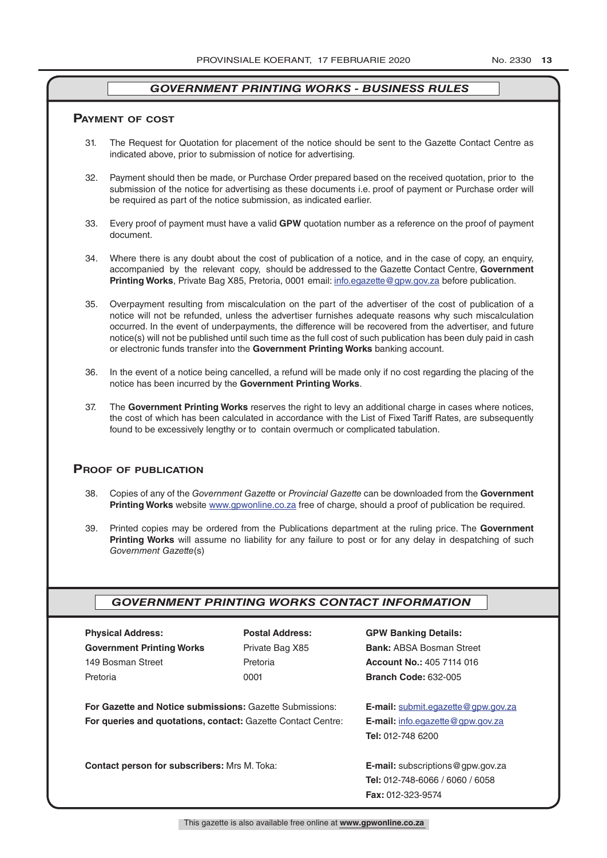#### **pAymenT of CosT**

- 31. The Request for Quotation for placement of the notice should be sent to the Gazette Contact Centre as indicated above, prior to submission of notice for advertising.
- 32. Payment should then be made, or Purchase Order prepared based on the received quotation, prior to the submission of the notice for advertising as these documents i.e. proof of payment or Purchase order will be required as part of the notice submission, as indicated earlier.
- 33. Every proof of payment must have a valid **GPW** quotation number as a reference on the proof of payment document.
- 34. Where there is any doubt about the cost of publication of a notice, and in the case of copy, an enquiry, accompanied by the relevant copy, should be addressed to the Gazette Contact Centre, **Government Printing Works**, Private Bag X85, Pretoria, 0001 email: info.egazette@gpw.gov.za before publication.
- 35. Overpayment resulting from miscalculation on the part of the advertiser of the cost of publication of a notice will not be refunded, unless the advertiser furnishes adequate reasons why such miscalculation occurred. In the event of underpayments, the difference will be recovered from the advertiser, and future notice(s) will not be published until such time as the full cost of such publication has been duly paid in cash or electronic funds transfer into the **Government Printing Works** banking account.
- 36. In the event of a notice being cancelled, a refund will be made only if no cost regarding the placing of the notice has been incurred by the **Government Printing Works**.
- 37. The **Government Printing Works** reserves the right to levy an additional charge in cases where notices, the cost of which has been calculated in accordance with the List of Fixed Tariff Rates, are subsequently found to be excessively lengthy or to contain overmuch or complicated tabulation.

#### **proof of publiCATion**

- 38. Copies of any of the *Government Gazette* or *Provincial Gazette* can be downloaded from the **Government Printing Works** website www.gpwonline.co.za free of charge, should a proof of publication be required.
- 39. Printed copies may be ordered from the Publications department at the ruling price. The **Government Printing Works** will assume no liability for any failure to post or for any delay in despatching of such *Government Gazette*(s)

#### *GOVERNMENT PRINTING WORKS CONTACT INFORMATION*

| <b>Physical Address:</b>                                                                                                               | <b>Postal Address:</b> | <b>GPW Banking Details:</b>                                                                                       |
|----------------------------------------------------------------------------------------------------------------------------------------|------------------------|-------------------------------------------------------------------------------------------------------------------|
| <b>Government Printing Works</b>                                                                                                       | Private Bag X85        | <b>Bank: ABSA Bosman Street</b>                                                                                   |
| 149 Bosman Street                                                                                                                      | Pretoria               | <b>Account No.: 405 7114 016</b>                                                                                  |
| Pretoria                                                                                                                               | 0001                   | <b>Branch Code: 632-005</b>                                                                                       |
| <b>For Gazette and Notice submissions: Gazette Submissions:</b><br><b>For queries and quotations, contact: Gazette Contact Centre:</b> |                        | <b>E-mail:</b> submit.eqazette@gpw.gov.za<br><b>E-mail:</b> info.egazette@gpw.gov.za<br><b>Tel: 012-748 6200</b>  |
| Contact person for subscribers: Mrs M. Toka:                                                                                           |                        | <b>E-mail:</b> subscriptions $@$ gpw.gov.za<br><b>Tel: 012-748-6066 / 6060 / 6058</b><br><b>Fax: 012-323-9574</b> |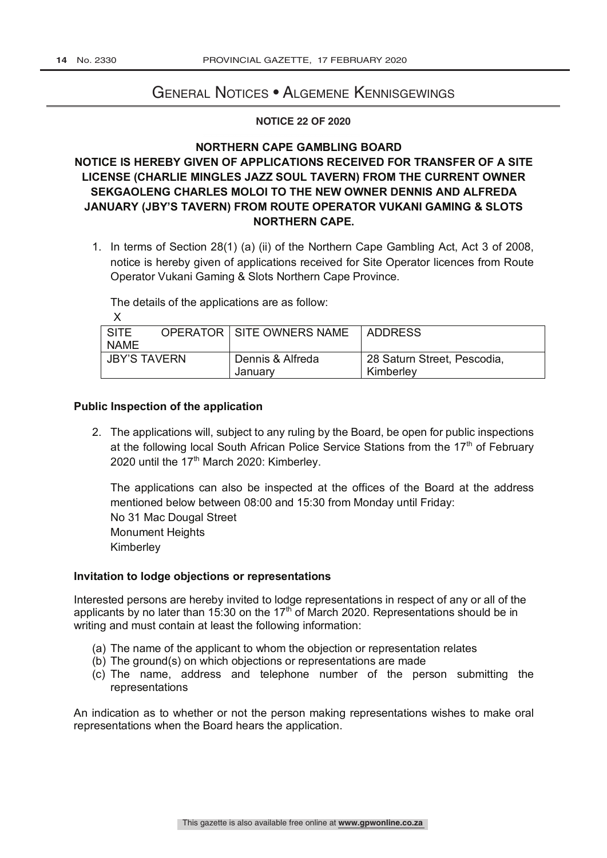# General Notices • Algemene Kennisgewings

#### **NOTICE 22 OF 2020**

#### **NORTHERN CAPE GAMBLING BOARD**

# **NOTICE IS HEREBY GIVEN OF APPLICATIONS RECEIVED FOR TRANSFER OF A SITE LICENSE (CHARLIE MINGLES JAZZ SOUL TAVERN) FROM THE CURRENT OWNER SEKGAOLENG CHARLES MOLOI TO THE NEW OWNER DENNIS AND ALFREDA JANUARY (JBY'S TAVERN) FROM ROUTE OPERATOR VUKANI GAMING & SLOTS NORTHERN CAPE.**

1. In terms of Section 28(1) (a) (ii) of the Northern Cape Gambling Act, Act 3 of 2008, notice is hereby given of applications received for Site Operator licences from Route Operator Vukani Gaming & Slots Northern Cape Province.

The details of the applications are as follow:

| SITE                |  | <b>OPERATOR I SITE OWNERS NAME</b> | ADDRESS                     |
|---------------------|--|------------------------------------|-----------------------------|
| <b>NAME</b>         |  |                                    |                             |
| <b>JBY'S TAVERN</b> |  | Dennis & Alfreda                   | 28 Saturn Street, Pescodia, |
|                     |  | Januarv                            | Kimberley                   |

#### **Public Inspection of the application**

2. The applications will, subject to any ruling by the Board, be open for public inspections at the following local South African Police Service Stations from the  $17<sup>th</sup>$  of February 2020 until the  $17<sup>th</sup>$  March 2020: Kimberley.

The applications can also be inspected at the offices of the Board at the address mentioned below between 08:00 and 15:30 from Monday until Friday: No 31 Mac Dougal Street Monument Heights Kimberley

## **Invitation to lodge objections or representations**

Interested persons are hereby invited to lodge representations in respect of any or all of the applicants by no later than 15:30 on the 17<sup>th</sup> of March 2020. Representations should be in writing and must contain at least the following information:

- (a) The name of the applicant to whom the objection or representation relates
- (b) The ground(s) on which objections or representations are made
- (c) The name, address and telephone number of the person submitting the representations

An indication as to whether or not the person making representations wishes to make oral representations when the Board hears the application.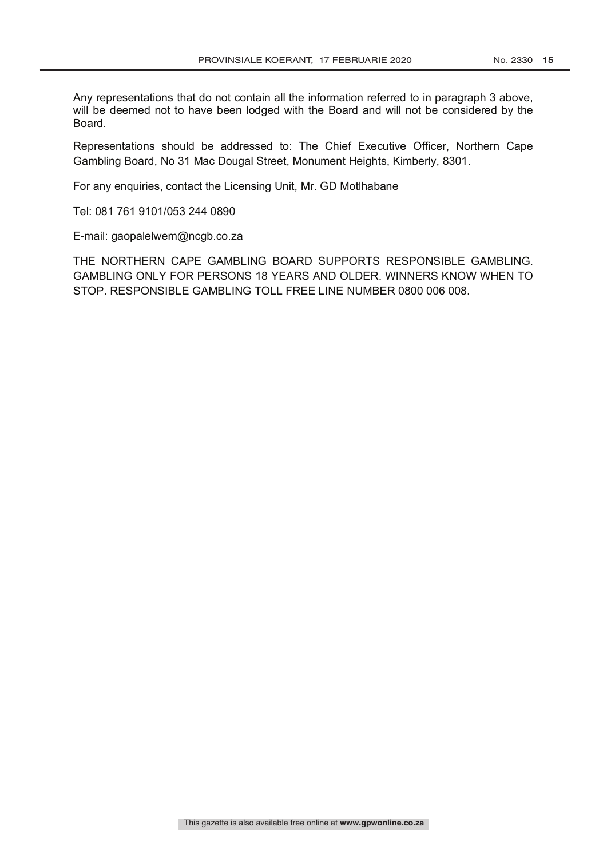Any representations that do not contain all the information referred to in paragraph 3 above, will be deemed not to have been lodged with the Board and will not be considered by the Board.

Representations should be addressed to: The Chief Executive Officer, Northern Cape Gambling Board, No 31 Mac Dougal Street, Monument Heights, Kimberly, 8301.

For any enquiries, contact the Licensing Unit, Mr. GD Motlhabane

Tel: 081 761 9101/053 244 0890

E-mail: gaopalelwem@ncgb.co.za

THE NORTHERN CAPE GAMBLING BOARD SUPPORTS RESPONSIBLE GAMBLING. GAMBLING ONLY FOR PERSONS 18 YEARS AND OLDER. WINNERS KNOW WHEN TO STOP. RESPONSIBLE GAMBLING TOLL FREE LINE NUMBER 0800 006 008.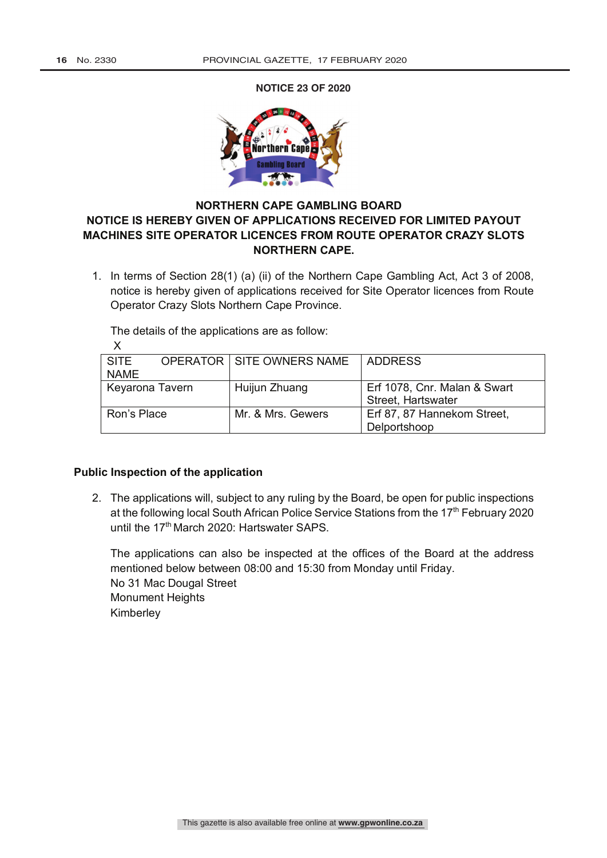**23 NOTICE 23 OF 2020**<br>
23/2008): Applications recentling payout materials Site Operator licences from Route Operator Crazy Slots Nor



# **NORTHERN CAPE GAMBLING BOARD NOTICE IS HEREBY GIVEN OF APPLICATIONS RECEIVED FOR LIMITED PAYOUT MACHINES SITE OPERATOR LICENCES FROM ROUTE OPERATOR CRAZY SLOTS NORTHERN CAPE.**

1. In terms of Section 28(1) (a) (ii) of the Northern Cape Gambling Act, Act 3 of 2008, notice is hereby given of applications received for Site Operator licences from Route Operator Crazy Slots Northern Cape Province.

The details of the applications are as follow:

| <b>SITE</b>     |  | <b>OPERATOR   SITE OWNERS NAME</b> | <b>ADDRESS</b>               |
|-----------------|--|------------------------------------|------------------------------|
| <b>NAME</b>     |  |                                    |                              |
| Keyarona Tavern |  | Huijun Zhuang                      | Erf 1078, Cnr. Malan & Swart |
|                 |  |                                    | Street, Hartswater           |
| Ron's Place     |  | Mr. & Mrs. Gewers                  | Erf 87, 87 Hannekom Street,  |
|                 |  |                                    | Delportshoop                 |

## **Public Inspection of the application**

2. The applications will, subject to any ruling by the Board, be open for public inspections at the following local South African Police Service Stations from the 17<sup>th</sup> February 2020 until the 17<sup>th</sup> March 2020: Hartswater SAPS.

The applications can also be inspected at the offices of the Board at the address mentioned below between 08:00 and 15:30 from Monday until Friday. No 31 Mac Dougal Street Monument Heights Kimberley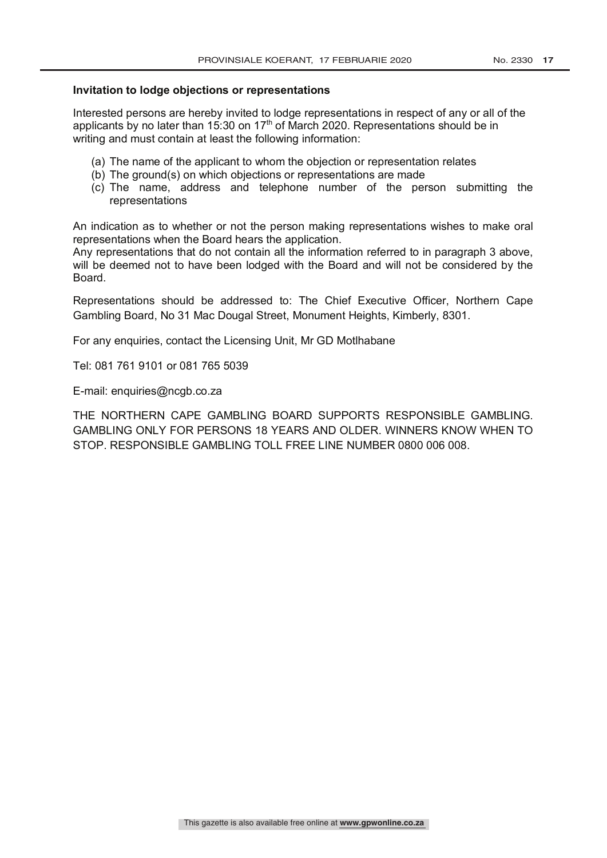#### **Invitation to lodge objections or representations**

Interested persons are hereby invited to lodge representations in respect of any or all of the applicants by no later than 15:30 on 17<sup>th</sup> of March 2020. Representations should be in writing and must contain at least the following information:

- (a) The name of the applicant to whom the objection or representation relates
- (b) The ground(s) on which objections or representations are made
- (c) The name, address and telephone number of the person submitting the representations

An indication as to whether or not the person making representations wishes to make oral representations when the Board hears the application.

Any representations that do not contain all the information referred to in paragraph 3 above, will be deemed not to have been lodged with the Board and will not be considered by the Board.

Representations should be addressed to: The Chief Executive Officer, Northern Cape Gambling Board, No 31 Mac Dougal Street, Monument Heights, Kimberly, 8301.

For any enquiries, contact the Licensing Unit, Mr GD Motlhabane

Tel: 081 761 9101 or 081 765 5039

E-mail: enquiries@ncgb.co.za

THE NORTHERN CAPE GAMBLING BOARD SUPPORTS RESPONSIBLE GAMBLING. GAMBLING ONLY FOR PERSONS 18 YEARS AND OLDER. WINNERS KNOW WHEN TO STOP. RESPONSIBLE GAMBLING TOLL FREE LINE NUMBER 0800 006 008.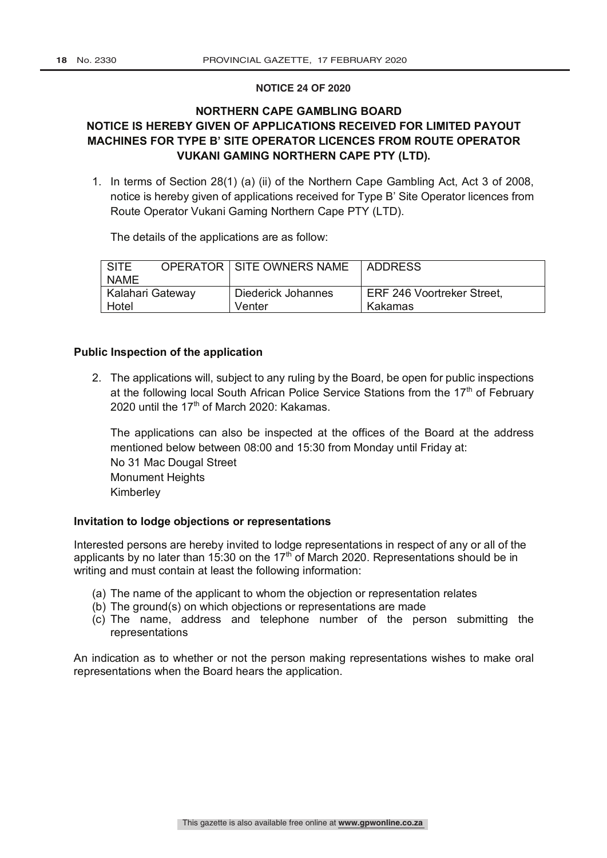#### **NOTICE 24 OF 2020**

# **NORTHERN CAPE GAMBLING BOARD NOTICE IS HEREBY GIVEN OF APPLICATIONS RECEIVED FOR LIMITED PAYOUT MACHINES FOR TYPE B' SITE OPERATOR LICENCES FROM ROUTE OPERATOR VUKANI GAMING NORTHERN CAPE PTY (LTD).**

1. In terms of Section 28(1) (a) (ii) of the Northern Cape Gambling Act, Act 3 of 2008, notice is hereby given of applications received for Type B' Site Operator licences from Route Operator Vukani Gaming Northern Cape PTY (LTD).

The details of the applications are as follow:

| I SITE           |  | <b>OPERATOR   SITE OWNERS NAME</b> | LADDRESS                   |
|------------------|--|------------------------------------|----------------------------|
| <b>NAME</b>      |  |                                    |                            |
| Kalahari Gateway |  | Diederick Johannes                 | ERF 246 Voortreker Street, |
| Hotel            |  | Venter                             | Kakamas                    |

## **Public Inspection of the application**

2. The applications will, subject to any ruling by the Board, be open for public inspections at the following local South African Police Service Stations from the  $17<sup>th</sup>$  of February 2020 until the 17<sup>th</sup> of March 2020: Kakamas.

The applications can also be inspected at the offices of the Board at the address mentioned below between 08:00 and 15:30 from Monday until Friday at: No 31 Mac Dougal Street Monument Heights Kimberley

## **Invitation to lodge objections or representations**

Interested persons are hereby invited to lodge representations in respect of any or all of the applicants by no later than 15:30 on the 17<sup>th</sup> of March 2020. Representations should be in writing and must contain at least the following information:

- (a) The name of the applicant to whom the objection or representation relates
- (b) The ground(s) on which objections or representations are made
- (c) The name, address and telephone number of the person submitting the representations

An indication as to whether or not the person making representations wishes to make oral representations when the Board hears the application.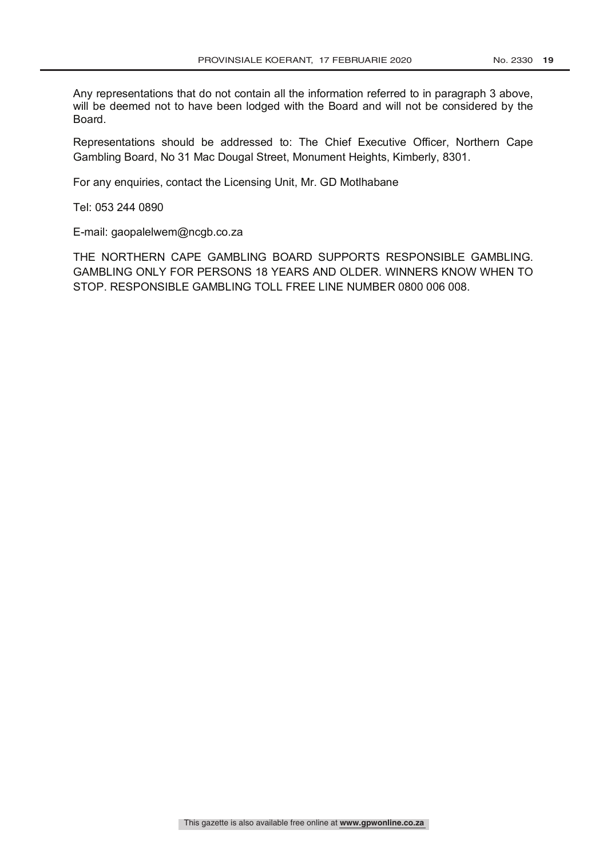Any representations that do not contain all the information referred to in paragraph 3 above, will be deemed not to have been lodged with the Board and will not be considered by the Board.

Representations should be addressed to: The Chief Executive Officer, Northern Cape Gambling Board, No 31 Mac Dougal Street, Monument Heights, Kimberly, 8301.

For any enquiries, contact the Licensing Unit, Mr. GD Motlhabane

Tel: 053 244 0890

E-mail: gaopalelwem@ncgb.co.za

THE NORTHERN CAPE GAMBLING BOARD SUPPORTS RESPONSIBLE GAMBLING. GAMBLING ONLY FOR PERSONS 18 YEARS AND OLDER. WINNERS KNOW WHEN TO STOP. RESPONSIBLE GAMBLING TOLL FREE LINE NUMBER 0800 006 008.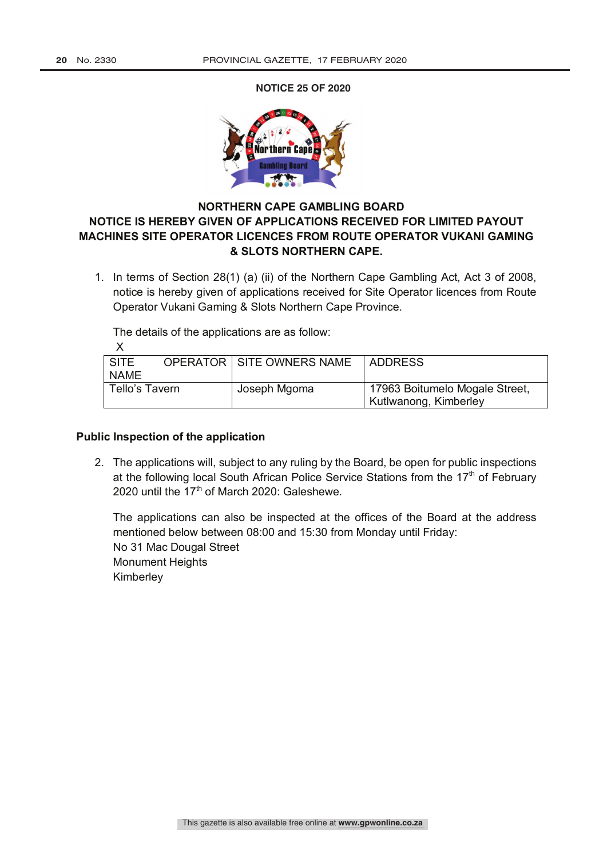**NOTICE 25 OF 2020**  $25$  Northern Cape Games received for linited payout mathematical payout mathematical payout  $23$ 



# **NORTHERN CAPE GAMBLING BOARD NOTICE IS HEREBY GIVEN OF APPLICATIONS RECEIVED FOR LIMITED PAYOUT MACHINES SITE OPERATOR LICENCES FROM ROUTE OPERATOR VUKANI GAMING & SLOTS NORTHERN CAPE.**

1. In terms of Section 28(1) (a) (ii) of the Northern Cape Gambling Act, Act 3 of 2008, notice is hereby given of applications received for Site Operator licences from Route Operator Vukani Gaming & Slots Northern Cape Province.

The details of the applications are as follow:

| <b>SITE</b>    | <b>OPERATOR   SITE OWNERS NAME</b> | LADDRESS                       |
|----------------|------------------------------------|--------------------------------|
| <b>NAME</b>    |                                    |                                |
| Tello's Tavern | Joseph Mgoma                       | 17963 Boitumelo Mogale Street, |
|                |                                    | Kutlwanong, Kimberley          |

## **Public Inspection of the application**

2. The applications will, subject to any ruling by the Board, be open for public inspections at the following local South African Police Service Stations from the  $17<sup>th</sup>$  of February 2020 until the 17<sup>th</sup> of March 2020: Galeshewe.

The applications can also be inspected at the offices of the Board at the address mentioned below between 08:00 and 15:30 from Monday until Friday: No 31 Mac Dougal Street Monument Heights Kimberley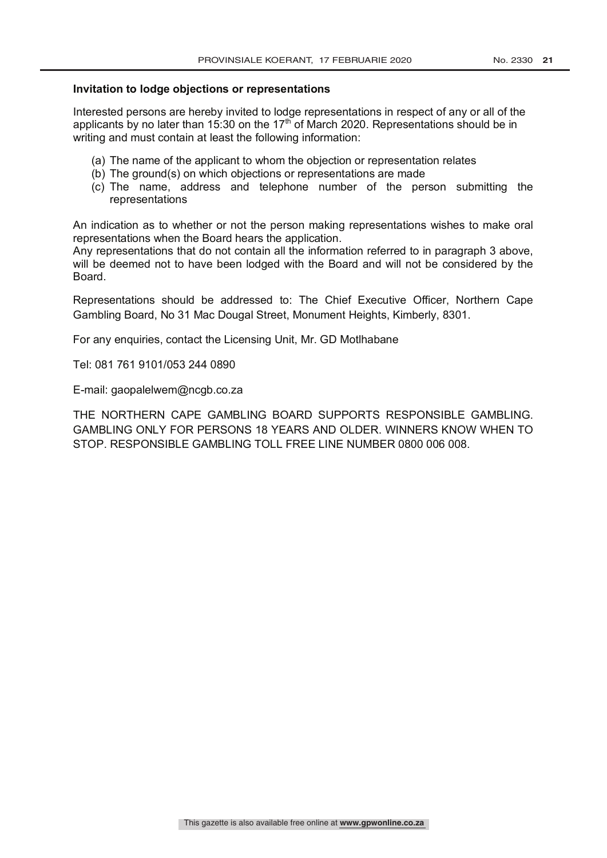#### **Invitation to lodge objections or representations**

Interested persons are hereby invited to lodge representations in respect of any or all of the applicants by no later than 15:30 on the 17<sup>th</sup> of March 2020. Representations should be in writing and must contain at least the following information:

- (a) The name of the applicant to whom the objection or representation relates
- (b) The ground(s) on which objections or representations are made
- (c) The name, address and telephone number of the person submitting the representations

An indication as to whether or not the person making representations wishes to make oral representations when the Board hears the application.

Any representations that do not contain all the information referred to in paragraph 3 above, will be deemed not to have been lodged with the Board and will not be considered by the Board.

Representations should be addressed to: The Chief Executive Officer, Northern Cape Gambling Board, No 31 Mac Dougal Street, Monument Heights, Kimberly, 8301.

For any enquiries, contact the Licensing Unit, Mr. GD Motlhabane

Tel: 081 761 9101/053 244 0890

E-mail: gaopalelwem@ncgb.co.za

THE NORTHERN CAPE GAMBLING BOARD SUPPORTS RESPONSIBLE GAMBLING. GAMBLING ONLY FOR PERSONS 18 YEARS AND OLDER. WINNERS KNOW WHEN TO STOP. RESPONSIBLE GAMBLING TOLL FREE LINE NUMBER 0800 006 008.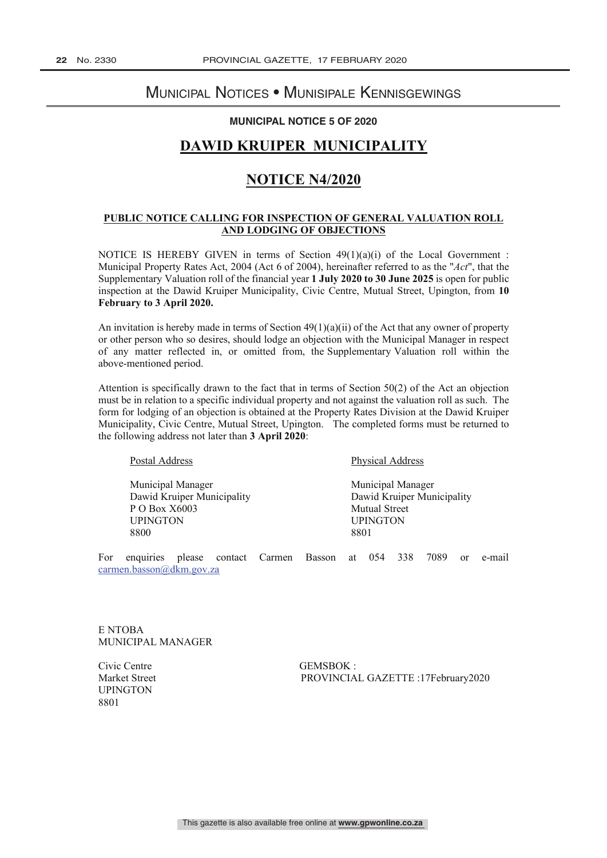# Municipal Notices • Munisipale Kennisgewings

#### **MUNICIPAL NOTICE 5 OF 2020**

# **DAWID KRUIPER MUNICIPALITY**

# **NOTICE N4/2020**

#### **PUBLIC NOTICE CALLING FOR INSPECTION OF GENERAL VALUATION ROLL AND LODGING OF OBJECTIONS**

NOTICE IS HEREBY GIVEN in terms of Section  $49(1)(a)(i)$  of the Local Government : Municipal Property Rates Act, 2004 (Act 6 of 2004), hereinafter referred to as the "*Act*", that the Supplementary Valuation roll of the financial year **1 July 2020 to 30 June 2025** is open for public inspection at the Dawid Kruiper Municipality, Civic Centre, Mutual Street, Upington, from **10 February to 3 April 2020.**

An invitation is hereby made in terms of Section  $49(1)(a)(ii)$  of the Act that any owner of property or other person who so desires, should lodge an objection with the Municipal Manager in respect of any matter reflected in, or omitted from, the Supplementary Valuation roll within the above-mentioned period.

Attention is specifically drawn to the fact that in terms of Section 50(2) of the Act an objection must be in relation to a specific individual property and not against the valuation roll as such. The form for lodging of an objection is obtained at the Property Rates Division at the Dawid Kruiper Municipality, Civic Centre, Mutual Street, Upington. The completed forms must be returned to the following address not later than **3 April 2020**:

Municipal Manager Municipal Manager P O Box X6003 Mutual Street UPINGTON UPINGTON S800 8801 8800 8801

Postal Address Physical Address

Dawid Kruiper Municipality Dawid Kruiper Municipality

For enquiries please contact Carmen Basson at 054 338 7089 or e-mail carmen.basson@dkm.gov.za

E NTOBA MUNICIPAL MANAGER

Civic Centre GEMSBOK : **UPINGTON** 8801

Market Street PROVINCIAL GAZETTE :17February2020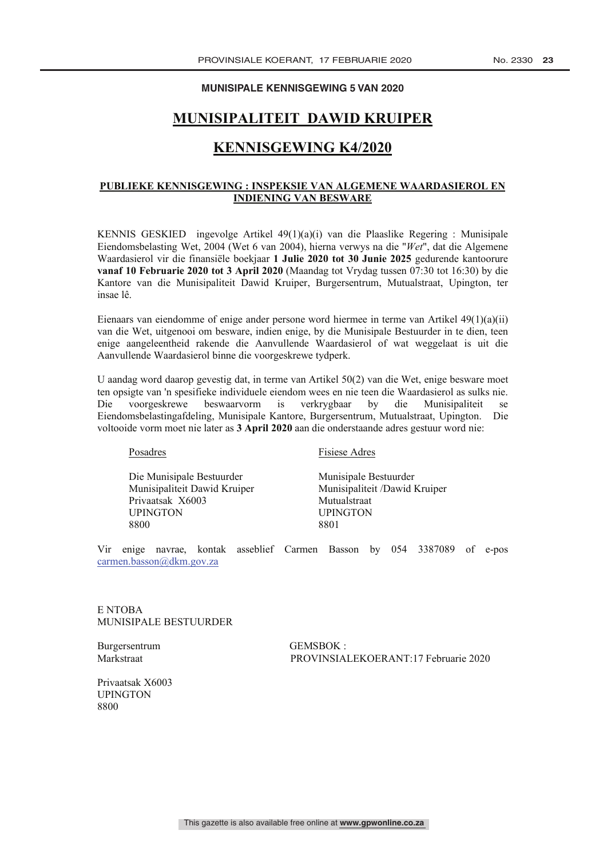#### **MUNISIPALE KENNISGEWING 5 VAN 2020**

# **MUNISIPALITEIT DAWID KRUIPER**

# **KENNISGEWING K4/2020**

#### **PUBLIEKE KENNISGEWING : INSPEKSIE VAN ALGEMENE WAARDASIEROL EN INDIENING VAN BESWARE**

KENNIS GESKIED ingevolge Artikel 49(1)(a)(i) van die Plaaslike Regering : Munisipale Eiendomsbelasting Wet, 2004 (Wet 6 van 2004), hierna verwys na die "*Wet*", dat die Algemene Waardasierol vir die finansiële boekjaar **1 Julie 2020 tot 30 Junie 2025** gedurende kantoorure **vanaf 10 Februarie 2020 tot 3 April 2020** (Maandag tot Vrydag tussen 07:30 tot 16:30) by die Kantore van die Munisipaliteit Dawid Kruiper, Burgersentrum, Mutualstraat, Upington, ter insae lê.

Eienaars van eiendomme of enige ander persone word hiermee in terme van Artikel 49(1)(a)(ii) van die Wet, uitgenooi om besware, indien enige, by die Munisipale Bestuurder in te dien, teen enige aangeleentheid rakende die Aanvullende Waardasierol of wat weggelaat is uit die Aanvullende Waardasierol binne die voorgeskrewe tydperk.

U aandag word daarop gevestig dat, in terme van Artikel 50(2) van die Wet, enige besware moet ten opsigte van 'n spesifieke individuele eiendom wees en nie teen die Waardasierol as sulks nie. Die voorgeskrewe beswaarvorm is verkrygbaar by die Munisipaliteit se Eiendomsbelastingafdeling, Munisipale Kantore, Burgersentrum, Mutualstraat, Upington. Die voltooide vorm moet nie later as **3 April 2020** aan die onderstaande adres gestuur word nie:

Die Munisipale Bestuurder Munisipale Bestuurder Privaatsak X6003 Mutualstraat<br>
HUPINGTON HUPINGTON 8800 8801

Posadres Fisiese Adres

Munisipaliteit Dawid Kruiper Munisipaliteit /Dawid Kruiper **UPINGTON** 

Vir enige navrae, kontak asseblief Carmen Basson by 054 3387089 of e-pos carmen.basson@dkm.gov.za

E NTOBA MUNISIPALE BESTUURDER

Burgersentrum GEMSBOK :

Markstraat PROVINSIALEKOERANT:17 Februarie 2020

Privaatsak X6003 UPINGTON 8800